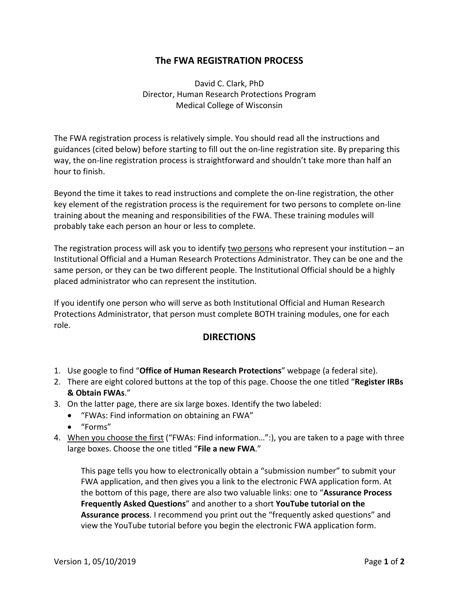## **The FWA REGISTRATION PROCESS**

David C. Clark, PhD Director, Human Research Protections Program Medical College of Wisconsin

The FWA registration process is relatively simple. You should read all the instructions and guidances (cited below) before starting to fill out the on‐line registration site. By preparing this way, the on-line registration process is straightforward and shouldn't take more than half an hour to finish.

Beyond the time it takes to read instructions and complete the on-line registration, the other key element of the registration process is the requirement for two persons to complete on‐line training about the meaning and responsibilities of the FWA. These training modules will probably take each person an hour or less to complete.

The registration process will ask you to identify two persons who represent your institution – an Institutional Official and a Human Research Protections Administrator. They can be one and the same person, or they can be two different people. The Institutional Official should be a highly placed administrator who can represent the institution.

If you identify one person who will serve as both Institutional Official and Human Research Protections Administrator, that person must complete BOTH training modules, one for each role.

## **DIRECTIONS**

- 1. Use google to find "**Office of Human Research Protections**" webpage (a federal site).
- 2. There are eight colored buttons at the top of this page. Choose the one titled "**Register IRBs & Obtain FWAs**."
- 3. On the latter page, there are six large boxes. Identify the two labeled:
	- "FWAs: Find information on obtaining an FWA"
	- "Forms"
- 4. When you choose the first ("FWAs: Find information…":), you are taken to a page with three large boxes. Choose the one titled "**File a new FWA**."

This page tells you how to electronically obtain a "submission number" to submit your FWA application, and then gives you a link to the electronic FWA application form. At the bottom of this page, there are also two valuable links: one to "**Assurance Process Frequently Asked Questions**" and another to a short **YouTube tutorial on the Assurance process**. I recommend you print out the "frequently asked questions" and view the YouTube tutorial before you begin the electronic FWA application form.